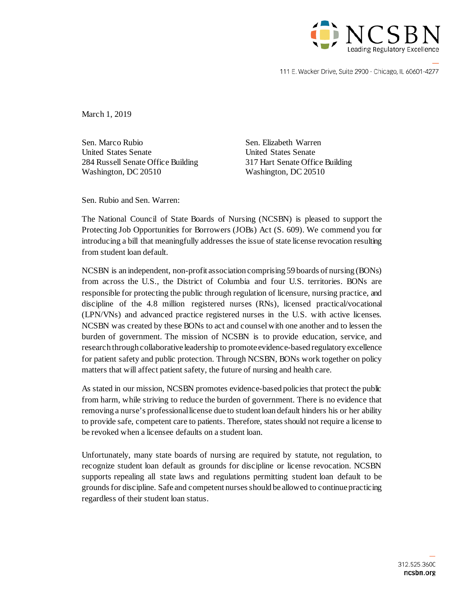

111 E. Wacker Drive, Suite 2900 · Chicago, IL 60601-4277

March 1, 2019

Sen. Marco Rubio Sen. Elizabeth Warren United States Senate United States Senate 284 Russell Senate Office Building 317 Hart Senate Office Building Washington, DC 20510 Washington, DC 20510

Sen. Rubio and Sen. Warren:

The National Council of State Boards of Nursing (NCSBN) is pleased to support the Protecting Job Opportunities for Borrowers (JOBs) Act (S. 609). We commend you for introducing a bill that meaningfully addresses the issue of state license revocation resulting from student loan default.

NCSBN is an independent, non-profit association comprising 59 boards of nursing (BONs) from across the U.S., the District of Columbia and four U.S. territories. BONs are responsible for protecting the public through regulation of licensure, nursing practice, and discipline of the 4.8 million registered nurses (RNs), licensed practical/vocational (LPN/VNs) and advanced practice registered nurses in the U.S. with active licenses. NCSBN was created by these BONs to act and counsel with one another and to lessen the burden of government. The mission of NCSBN is to provide education, service, and research through collaborative leadership to promote evidence-based regulatory excellence for patient safety and public protection. Through NCSBN, BONs work together on policy matters that will affect patient safety, the future of nursing and health care.

As stated in our mission, NCSBN promotes evidence-based policies that protect the public from harm, while striving to reduce the burden of government. There is no evidence that removing a nurse's professional license due to student loan default hinders his or her ability to provide safe, competent care to patients. Therefore, states should not require a license to be revoked when a licensee defaults on a student loan.

Unfortunately, many state boards of nursing are required by statute, not regulation, to recognize student loan default as grounds for discipline or license revocation. NCSBN supports repealing all state laws and regulations permitting student loan default to be grounds for discipline. Safe and competent nurses should be allowed to continue practicing regardless of their student loan status.